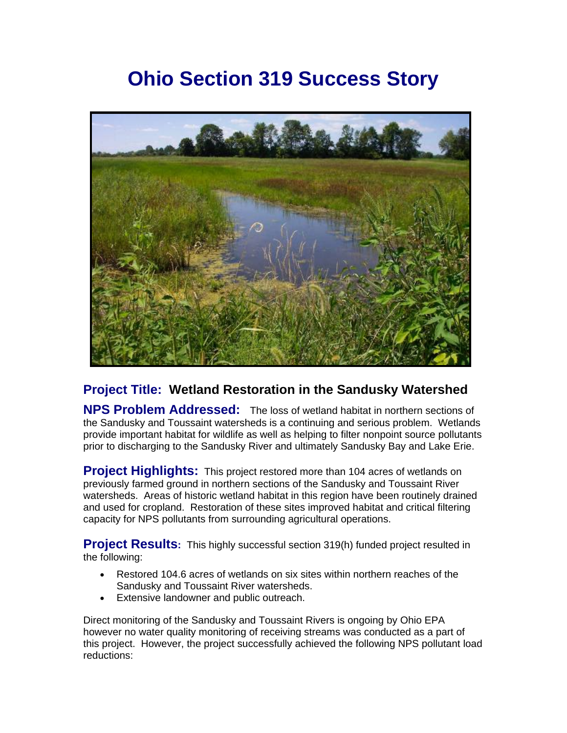# **Ohio Section 319 Success Story**



## **Project Title: Wetland Restoration in the Sandusky Watershed**

**NPS Problem Addressed:** The loss of wetland habitat in northern sections of the Sandusky and Toussaint watersheds is a continuing and serious problem. Wetlands provide important habitat for wildlife as well as helping to filter nonpoint source pollutants prior to discharging to the Sandusky River and ultimately Sandusky Bay and Lake Erie.

**Project Highlights:** This project restored more than 104 acres of wetlands on previously farmed ground in northern sections of the Sandusky and Toussaint River watersheds. Areas of historic wetland habitat in this region have been routinely drained and used for cropland. Restoration of these sites improved habitat and critical filtering capacity for NPS pollutants from surrounding agricultural operations.

**Project Results:** This highly successful section 319(h) funded project resulted in the following:

- Restored 104.6 acres of wetlands on six sites within northern reaches of the Sandusky and Toussaint River watersheds.
- Extensive landowner and public outreach.

Direct monitoring of the Sandusky and Toussaint Rivers is ongoing by Ohio EPA however no water quality monitoring of receiving streams was conducted as a part of this project. However, the project successfully achieved the following NPS pollutant load reductions: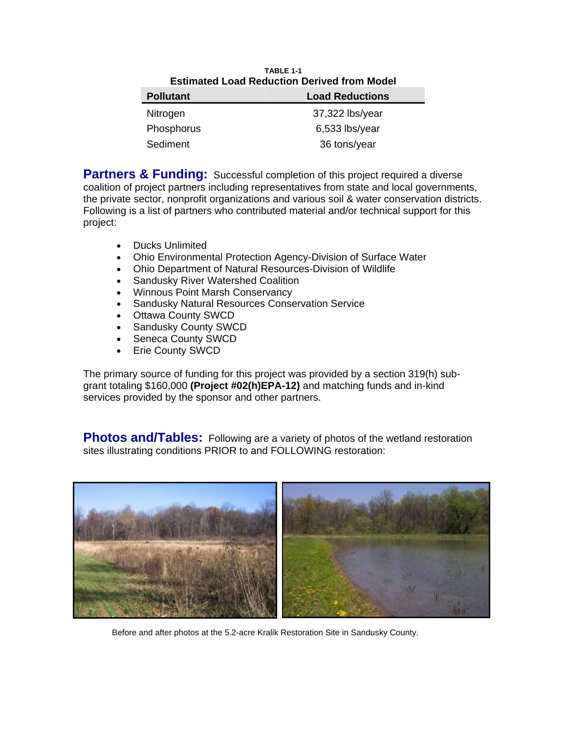| <b>TARIF 1-1</b><br><b>Estimated Load Reduction Derived from Model</b> |                        |
|------------------------------------------------------------------------|------------------------|
| <b>Pollutant</b>                                                       | <b>Load Reductions</b> |
| Nitrogen                                                               | 37,322 lbs/year        |
| Phosphorus                                                             | $6,533$ lbs/year       |
| Sediment                                                               | 36 tons/year           |
|                                                                        |                        |

**Partners & Funding:** Successful completion of this project required a diverse coalition of project partners including representatives from state and local governments, the private sector, nonprofit organizations and various soil & water conservation districts. Following is a list of partners who contributed material and/or technical support for this project:

- Ducks Unlimited
- Ohio Environmental Protection Agency-Division of Surface Water
- Ohio Department of Natural Resources-Division of Wildlife
- Sandusky River Watershed Coalition
- Winnous Point Marsh Conservancy
- Sandusky Natural Resources Conservation Service
- Ottawa County SWCD
- Sandusky County SWCD
- Seneca County SWCD
- Erie County SWCD

The primary source of funding for this project was provided by a section 319(h) subgrant totaling \$160,000 **(Project #02(h)EPA-12)** and matching funds and in-kind services provided by the sponsor and other partners.

**Photos and/Tables:** Following are a variety of photos of the wetland restoration sites illustrating conditions PRIOR to and FOLLOWING restoration:



Before and after photos at the 5.2-acre Kralik Restoration Site in Sandusky County.